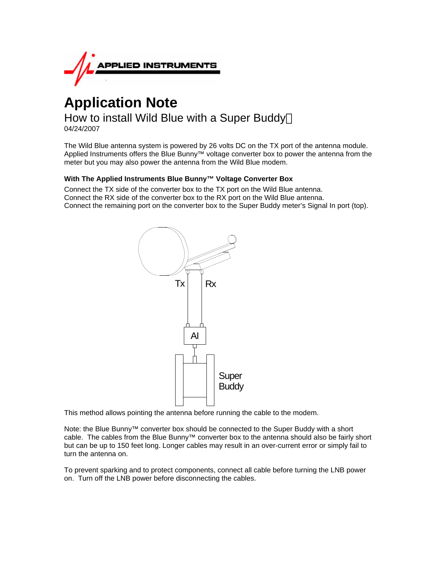

# **Application Note**

How to install Wild Blue with a Super Buddy<sup>™</sup> 04/24/2007

The Wild Blue antenna system is powered by 26 volts DC on the TX port of the antenna module. Applied Instruments offers the Blue Bunny<sup>™</sup> voltage converter box to power the antenna from the meter but you may also power the antenna from the Wild Blue modem.

# **With The Applied Instruments Blue Bunny™ Voltage Converter Box**

Connect the TX side of the converter box to the TX port on the Wild Blue antenna. Connect the RX side of the converter box to the RX port on the Wild Blue antenna. Connect the remaining port on the converter box to the Super Buddy meter's Signal In port (top).



This method allows pointing the antenna before running the cable to the modem.

Note: the Blue Bunny™ converter box should be connected to the Super Buddy with a short cable. The cables from the Blue Bunny™ converter box to the antenna should also be fairly short but can be up to 150 feet long. Longer cables may result in an over-current error or simply fail to turn the antenna on.

To prevent sparking and to protect components, connect all cable before turning the LNB power on. Turn off the LNB power before disconnecting the cables.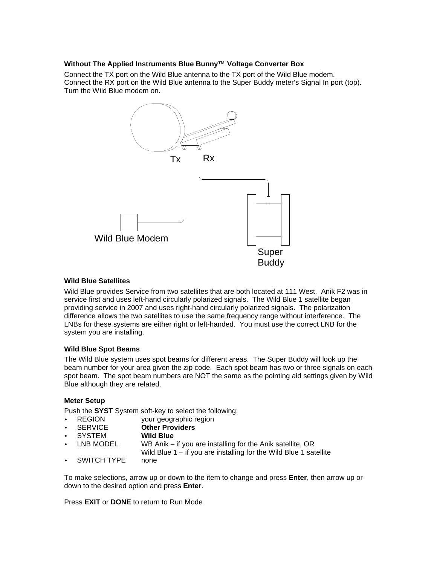## **Without The Applied Instruments Blue Bunny™ Voltage Converter Box**

Connect the TX port on the Wild Blue antenna to the TX port of the Wild Blue modem. Connect the RX port on the Wild Blue antenna to the Super Buddy meter's Signal In port (top). Turn the Wild Blue modem on.



## **Wild Blue Satellites**

Wild Blue provides Service from two satellites that are both located at 111 West. Anik F2 was in service first and uses left-hand circularly polarized signals. The Wild Blue 1 satellite began providing service in 2007 and uses right-hand circularly polarized signals. The polarization difference allows the two satellites to use the same frequency range without interference. The LNBs for these systems are either right or left-handed. You must use the correct LNB for the system you are installing.

# **Wild Blue Spot Beams**

The Wild Blue system uses spot beams for different areas. The Super Buddy will look up the beam number for your area given the zip code. Each spot beam has two or three signals on each spot beam. The spot beam numbers are NOT the same as the pointing aid settings given by Wild Blue although they are related.

# **Meter Setup**

Push the **SYST** System soft-key to select the following:

- REGION your geographic region
	- SERVICE **Other Providers**
- SYSTEM **Wild Blue**
- LNB MODEL WB Anik if you are installing for the Anik satellite, OR Wild Blue 1 – if you are installing for the Wild Blue 1 satellite
- SWITCH TYPE none

To make selections, arrow up or down to the item to change and press **Enter**, then arrow up or down to the desired option and press **Enter**.

Press **EXIT** or **DONE** to return to Run Mode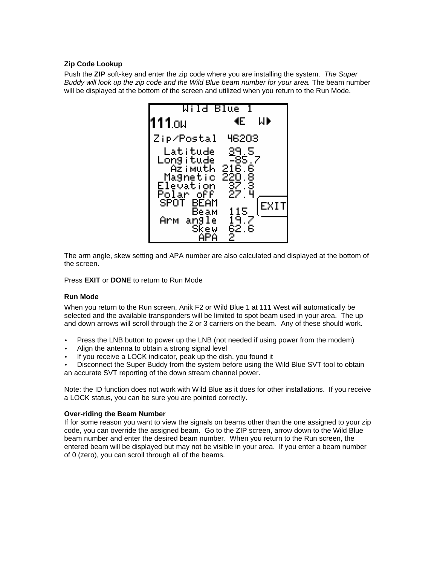# **Zip Code Lookup**

Push the **ZIP** soft-key and enter the zip code where you are installing the system. *The Super Buddy will look up the zip code and the Wild Blue beam number for your area.* The beam number will be displayed at the bottom of the screen and utilized when you return to the Run Mode.



The arm angle, skew setting and APA number are also calculated and displayed at the bottom of the screen.

Press **EXIT** or **DONE** to return to Run Mode

#### **Run Mode**

When you return to the Run screen, Anik F2 or Wild Blue 1 at 111 West will automatically be selected and the available transponders will be limited to spot beam used in your area. The up and down arrows will scroll through the 2 or 3 carriers on the beam. Any of these should work.

- Press the LNB button to power up the LNB (not needed if using power from the modem)
- Align the antenna to obtain a strong signal level
- If you receive a LOCK indicator, peak up the dish, you found it
- Disconnect the Super Buddy from the system before using the Wild Blue SVT tool to obtain an accurate SVT reporting of the down stream channel power.

Note: the ID function does not work with Wild Blue as it does for other installations. If you receive a LOCK status, you can be sure you are pointed correctly.

#### **Over-riding the Beam Number**

If for some reason you want to view the signals on beams other than the one assigned to your zip code, you can override the assigned beam. Go to the ZIP screen, arrow down to the Wild Blue beam number and enter the desired beam number. When you return to the Run screen, the entered beam will be displayed but may not be visible in your area. If you enter a beam number of 0 (zero), you can scroll through all of the beams.